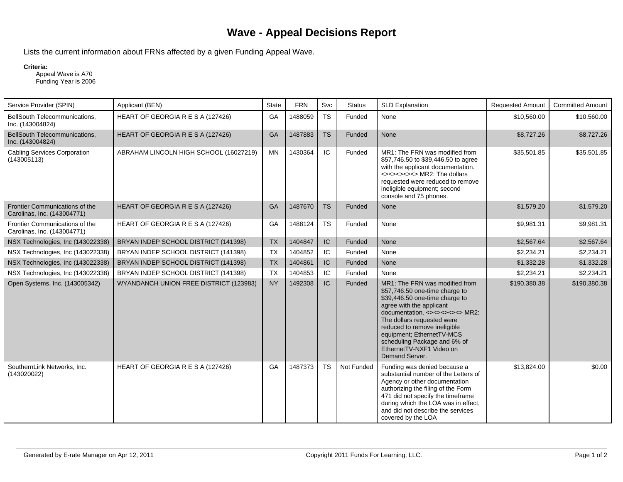## **Wave - Appeal Decisions Report**

Lists the current information about FRNs affected by a given Funding Appeal Wave.

## **Criteria:**

 Appeal Wave is A70 Funding Year is 2006

| Service Provider (SPIN)                                       | Applicant (BEN)                        | State     | <b>FRN</b> | Svc       | <b>Status</b> | <b>SLD Explanation</b>                                                                                                                                                                                                                                                                                                                      | <b>Requested Amount</b> | <b>Committed Amount</b> |
|---------------------------------------------------------------|----------------------------------------|-----------|------------|-----------|---------------|---------------------------------------------------------------------------------------------------------------------------------------------------------------------------------------------------------------------------------------------------------------------------------------------------------------------------------------------|-------------------------|-------------------------|
| BellSouth Telecommunications,<br>Inc. (143004824)             | HEART OF GEORGIA R E S A (127426)      | GA        | 1488059    | <b>TS</b> | Funded        | None                                                                                                                                                                                                                                                                                                                                        | \$10,560.00             | \$10,560.00             |
| BellSouth Telecommunications,<br>Inc. (143004824)             | HEART OF GEORGIA R E S A (127426)      | <b>GA</b> | 1487883    | <b>TS</b> | Funded        | None                                                                                                                                                                                                                                                                                                                                        | \$8,727.26              | \$8,727.26              |
| <b>Cabling Services Corporation</b><br>(143005113)            | ABRAHAM LINCOLN HIGH SCHOOL (16027219) | <b>MN</b> | 1430364    | IC.       | Funded        | MR1: The FRN was modified from<br>\$57,746.50 to \$39,446.50 to agree<br>with the applicant documentation.<br><><><><><>>>>> MR2: The dollars<br>requested were reduced to remove<br>ineligible equipment; second<br>console and 75 phones.                                                                                                 | \$35,501.85             | \$35,501.85             |
| Frontier Communications of the<br>Carolinas, Inc. (143004771) | HEART OF GEORGIA R E S A (127426)      | <b>GA</b> | 1487670    | <b>TS</b> | Funded        | None                                                                                                                                                                                                                                                                                                                                        | \$1,579.20              | \$1,579.20              |
| Frontier Communications of the<br>Carolinas, Inc. (143004771) | HEART OF GEORGIA R E S A (127426)      | GA        | 1488124    | TS        | Funded        | None                                                                                                                                                                                                                                                                                                                                        | \$9,981.31              | \$9,981.31              |
| NSX Technologies, Inc (143022338)                             | BRYAN INDEP SCHOOL DISTRICT (141398)   | <b>TX</b> | 1404847    | IC        | Funded        | None                                                                                                                                                                                                                                                                                                                                        | \$2,567.64              | \$2,567.64              |
| NSX Technologies, Inc (143022338)                             | BRYAN INDEP SCHOOL DISTRICT (141398)   | <b>TX</b> | 1404852    | IC.       | Funded        | None                                                                                                                                                                                                                                                                                                                                        | \$2,234.21              | \$2,234.21              |
| NSX Technologies, Inc (143022338)                             | BRYAN INDEP SCHOOL DISTRICT (141398)   | <b>TX</b> | 1404861    | IC        | Funded        | None                                                                                                                                                                                                                                                                                                                                        | \$1,332.28              | \$1,332.28              |
| NSX Technologies, Inc (143022338)                             | BRYAN INDEP SCHOOL DISTRICT (141398)   | <b>TX</b> | 1404853    | IC        | Funded        | None                                                                                                                                                                                                                                                                                                                                        | \$2,234.21              | \$2,234.21              |
| Open Systems, Inc. (143005342)                                | WYANDANCH UNION FREE DISTRICT (123983) | <b>NY</b> | 1492308    | IC        | Funded        | MR1: The FRN was modified from<br>\$57,746.50 one-time charge to<br>\$39,446.50 one-time charge to<br>agree with the applicant<br>documentation. <><><><>>>>>>MR2:<br>The dollars requested were<br>reduced to remove ineligible<br>equipment; EthernetTV-MCS<br>scheduling Package and 6% of<br>EthernetTV-NXF1 Video on<br>Demand Server. | \$190,380.38            | \$190,380.38            |
| SouthernLink Networks, Inc.<br>(143020022)                    | HEART OF GEORGIA R E S A (127426)      | GA        | 1487373    | <b>TS</b> | Not Funded    | Funding was denied because a<br>substantial number of the Letters of<br>Agency or other documentation<br>authorizing the filing of the Form<br>471 did not specify the timeframe<br>during which the LOA was in effect,<br>and did not describe the services<br>covered by the LOA                                                          | \$13,824.00             | \$0.00                  |